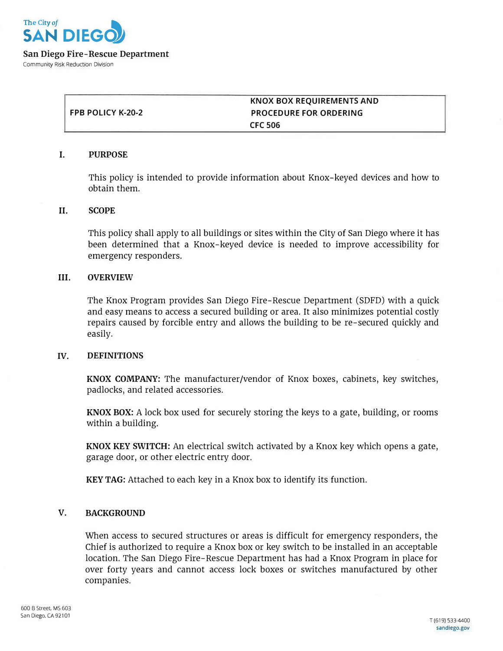

| <b>FPB POLICY K-20-2</b> |  |  |
|--------------------------|--|--|
|                          |  |  |

# **KNOX BOX REQUIREMENTS AND PROCEDURE FOR ORDERING CFC 506**

## **I. PURPOSE**

This policy is intended to provide information about Knox-keyed devices and how to obtain them.

### **II. SCOPE**

This policy shall apply to all buildings or sites within the City of San Diego where it has been determined that a Knox-keyed device is needed to improve accessibility for emergency responders.

### **III. OVERVIEW**

The Knox Program provides San Diego Fire-Rescue Department (SDFD) with a quick and easy means to access a secured building or area. It also minimizes potential costly repairs caused by forcible entry and allows the building to be re-secured quickly and easily.

### **IV. DEFINITIONS**

**KNOX COMPANY:** The manufacturer/vendor of Knox boxes, cabinets, key switches, padlocks, and related accessories.

**KNOX BOX:** A lock box used for securely storing the keys to a gate, building, or rooms within a building.

**KNOX KEY SWITCH:** An electrical switch activated by a Knox key which opens a gate, garage door, or other electric entry door.

**KEY TAG:** Attached to each key in a Knox box to identify its function.

# **V. BACKGROUND**

When access to secured structures or areas is difficult for emergency responders, the Chief is authorized to require a Knox box or key switch to be installed in an acceptable location. The San Diego Fire-Rescue Department has had a Knox Program in place for over forty years and cannot access lock boxes or switches manufactured by other companies.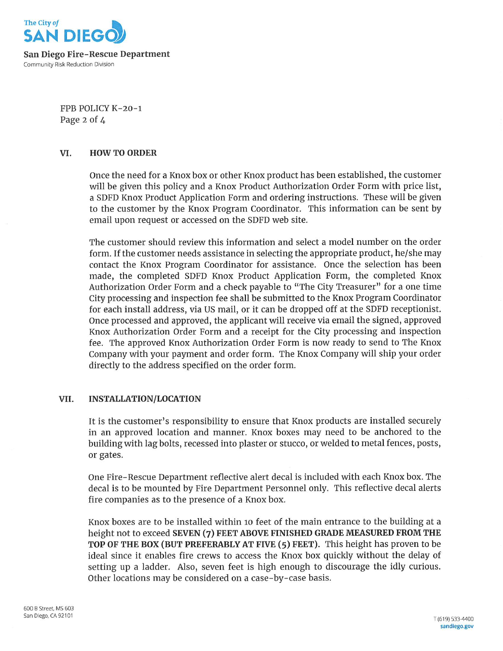

FPB POLICY K-20-1 Page 2 of 4

#### VI. **HOW TO ORDER**

Once the need for a Knox box or other Knox product has been established, the customer will be given this policy and a Knox Product Authorization Order Form with price list, a SDFD Knox Product Application Form and ordering instructions. These will be given to the customer by the Knox Program Coordinator. This information can be sent by email upon request or accessed on the SDFD web site.

The customer should review this information and select a model number on the order form. If the customer needs assistance in selecting the appropriate product, he/she may contact the Knox Program Coordinator for assistance. Once the selection has been made, the completed SDFD Knox Product Application Form, the completed Knox Authorization Order Form and a check payable to "The City Treasurer" for a one time City processing and inspection fee shall be submitted to the Knox Program Coordinator for each install address, via US mail, or it can be dropped off at the SDFD receptionist. Once processed and approved, the applicant will receive via email the signed, approved Knox Authorization Order Form and a receipt for the City processing and inspection fee. The approved Knox Authorization Order Form is now ready to send to The Knox Company with your payment and order form. The Knox Company will ship your order directly to the address specified on the order form.

#### VII. **INSTALLATION/LOCATION**

It is the customer's responsibility to ensure that Knox products are installed securely in an approved location and manner. Knox boxes may need to be anchored to the building with lag bolts, recessed into plaster or stucco, or welded to metal fences, posts, or gates.

One Fire-Rescue Department reflective alert decal is included with each Knox box. The decal is to be mounted by Fire Department Personnel only. This reflective decal alerts fire companies as to the presence of a Knox box.

Knox boxes are to be installed within 10 feet of the main entrance to the building at a height not to exceed SEVEN (7) FEET ABOVE FINISHED GRADE MEASURED FROM THE TOP OF THE BOX (BUT PREFERABLY AT FIVE (5) FEET). This height has proven to be ideal since it enables fire crews to access the Knox box quickly without the delay of setting up a ladder. Also, seven feet is high enough to discourage the idly curious. Other locations may be considered on a case-by-case basis.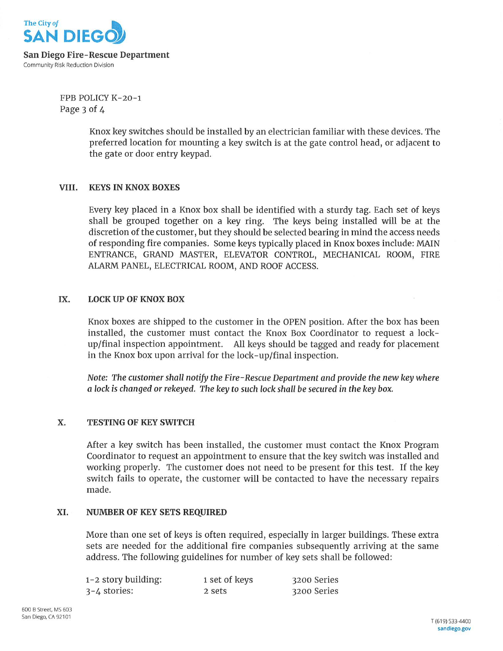

FPB POLICY K-20-1 Page 3 of 4

> Knox key switches should be installed by an electrician familiar with these devices. The preferred location for mounting a key switch is at the gate control head, or adjacent to the gate or door entry keypad.

#### VIII. **KEYS IN KNOX BOXES**

Every key placed in a Knox box shall be identified with a sturdy tag. Each set of keys shall be grouped together on a key ring. The keys being installed will be at the discretion of the customer, but they should be selected bearing in mind the access needs of responding fire companies. Some keys typically placed in Knox boxes include: MAIN ENTRANCE, GRAND MASTER, ELEVATOR CONTROL, MECHANICAL ROOM, FIRE ALARM PANEL, ELECTRICAL ROOM, AND ROOF ACCESS.

### IX. **LOCK UP OF KNOX BOX**

Knox boxes are shipped to the customer in the OPEN position. After the box has been installed, the customer must contact the Knox Box Coordinator to request a lockup/final inspection appointment. All keys should be tagged and ready for placement in the Knox box upon arrival for the lock-up/final inspection.

Note: The customer shall notify the Fire-Rescue Department and provide the new key where a lock is changed or rekeyed. The key to such lock shall be secured in the key box.

### X. **TESTING OF KEY SWITCH**

After a key switch has been installed, the customer must contact the Knox Program Coordinator to request an appointment to ensure that the key switch was installed and working properly. The customer does not need to be present for this test. If the key switch fails to operate, the customer will be contacted to have the necessary repairs made.

#### XI. **NUMBER OF KEY SETS REQUIRED**

More than one set of keys is often required, especially in larger buildings. These extra sets are needed for the additional fire companies subsequently arriving at the same address. The following guidelines for number of key sets shall be followed:

| 1-2 story building: | 1 set of keys | 3200 Series |
|---------------------|---------------|-------------|
| 3-4 stories:        | 2 sets        | 3200 Series |